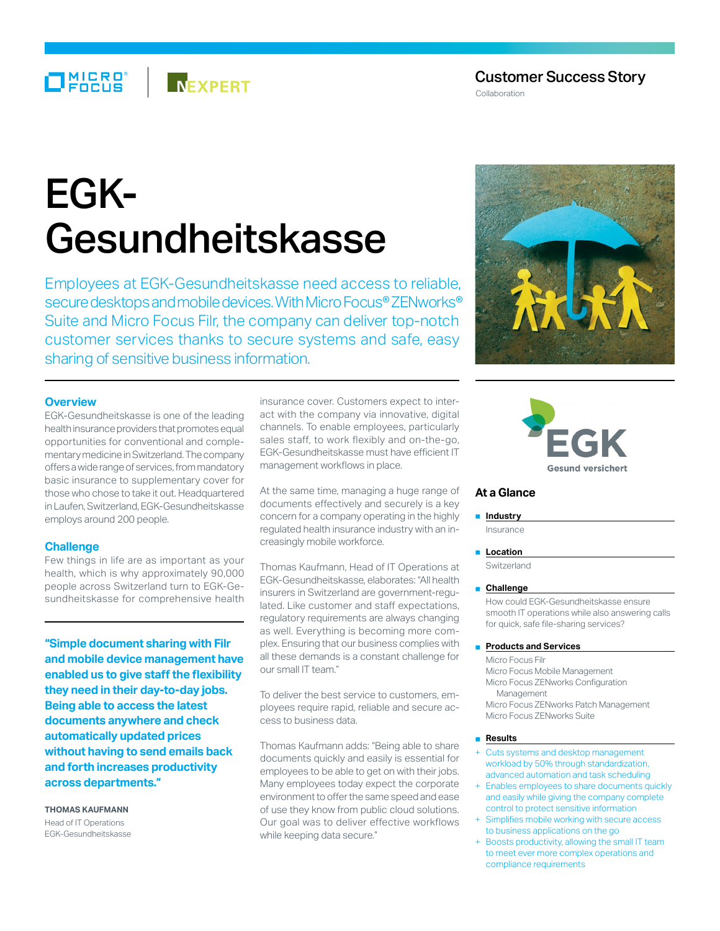# Customer Success Story

Collaboration

# EGK-Gesundheitskasse

**NEXPERT** 

Employees at EGK-Gesundheitskasse need access to reliable, secure desktops and mobile devices. With Micro Focus® ZENworks® Suite and Micro Focus Filr, the company can deliver top-notch customer services thanks to secure systems and safe, easy sharing of sensitive business information.

# **Overview**

MICRO<sup>®</sup><br>FOCUS

EGK-Gesundheitskasse is one of the leading health insurance providers that promotes equal opportunities for conventional and complementary medicine in Switzerland. The company offers a wide range of services, from mandatory basic insurance to supplementary cover for those who chose to take it out. Headquartered in Laufen, Switzerland, EGK-Gesundheitskasse employs around 200 people.

## **Challenge**

Few things in life are as important as your health, which is why approximately 90,000 people across Switzerland turn to EGK-Gesundheitskasse for comprehensive health

**"Simple document sharing with Filr and mobile device management have enabled us to give staff the flexibility they need in their day-to-day jobs. Being able to access the latest documents anywhere and check automatically updated prices without having to send emails back and forth increases productivity across departments."**

**Thomas Kaufmann** Head of IT Operations EGK-Gesundheitskasse insurance cover. Customers expect to interact with the company via innovative, digital channels. To enable employees, particularly sales staff, to work flexibly and on-the-go, EGK-Gesundheitskasse must have efficient IT management workflows in place.

At the same time, managing a huge range of documents effectively and securely is a key concern for a company operating in the highly regulated health insurance industry with an increasingly mobile workforce.

Thomas Kaufmann, Head of IT Operations at EGK-Gesundheitskasse, elaborates: "All health insurers in Switzerland are government-regulated. Like customer and staff expectations, regulatory requirements are always changing as well. Everything is becoming more complex. Ensuring that our business complies with all these demands is a constant challenge for our small IT team."

To deliver the best service to customers, employees require rapid, reliable and secure access to business data.

Thomas Kaufmann adds: "Being able to share documents quickly and easily is essential for employees to be able to get on with their jobs. Many employees today expect the corporate environment to offer the same speed and ease of use they know from public cloud solutions. Our goal was to deliver effective workflows while keeping data secure."





## **At a Glance**

### ■ **Industry**

Insurance

■ **Location**

**Switzerland** 

#### ■ **Challenge**

How could EGK-Gesundheitskasse ensure smooth IT operations while also answering calls for quick, safe file-sharing services?

#### ■ **Products and Services**

Micro Focus Filr Micro Focus Mobile Management Micro Focus ZENworks Configuration Management Micro Focus ZENworks Patch Management Micro Focus ZENworks Suite

#### ■ **Results**

- Cuts systems and desktop management workload by 50% through standardization, advanced automation and task scheduling
- Enables employees to share documents quickly and easily while giving the company complete control to protect sensitive information
- Simplifies mobile working with secure access to business applications on the go
- Boosts productivity, allowing the small IT team to meet ever more complex operations and compliance requirements